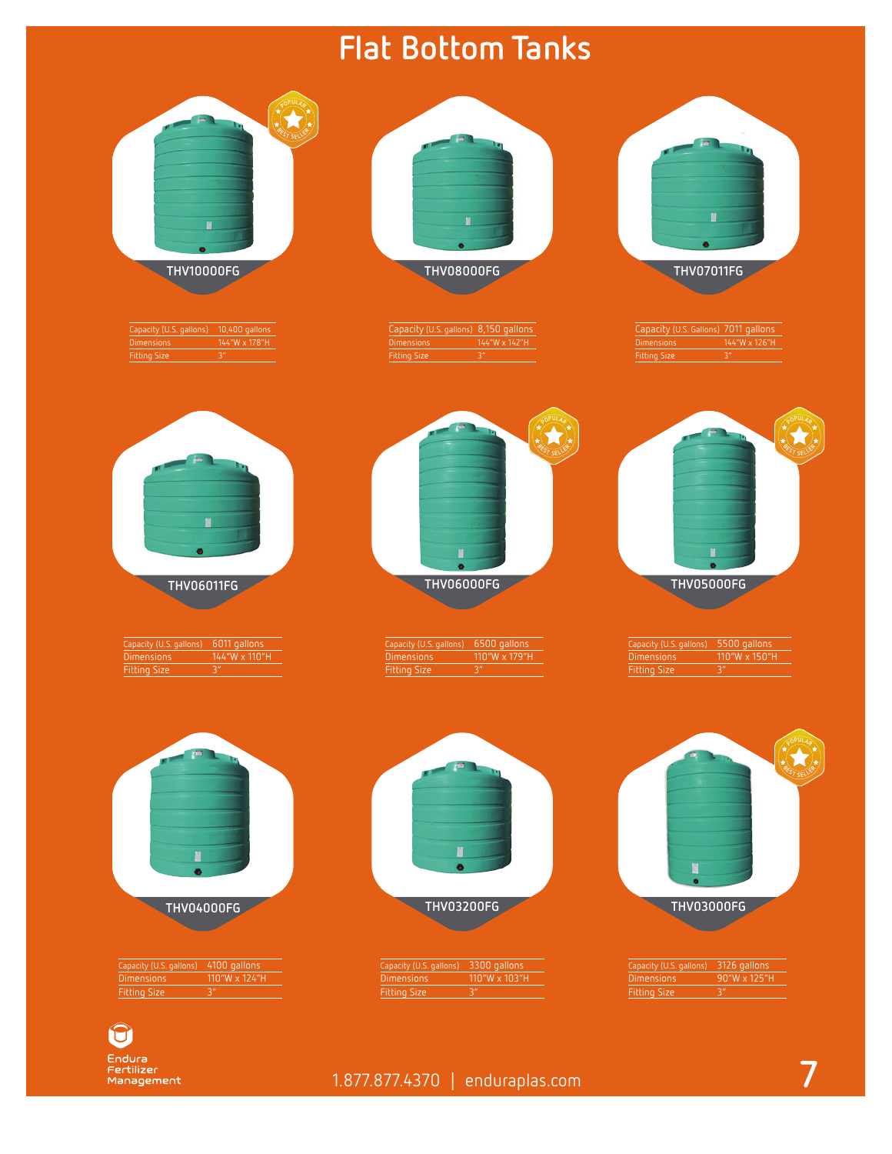## **Flat Bottom Tanks**

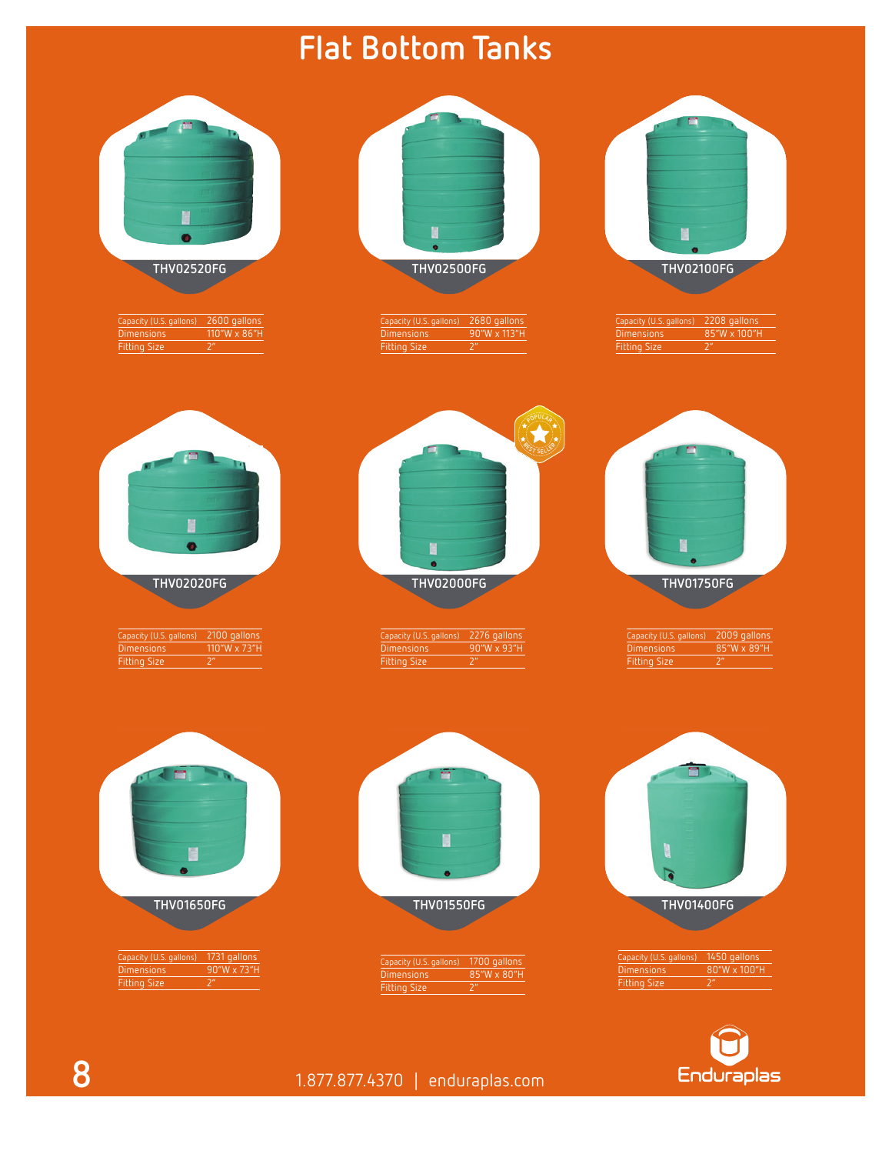## **Flat Bottom Tanks**

| Ħ                       | в                       | Ħ                       |
|-------------------------|-------------------------|-------------------------|
| <b>THV02520FG</b>       | <b>THV02500FG</b>       | <b>THV02100FG</b>       |
| 2600 gallons            | 2680 gallons            | 2208 gallons            |
| Capacity (U.S. gallons) | Capacity (U.S. gallons) | Capacity (U.S. gallons) |
| 110"W x 86"H            | 90"W x 113"H            | 85"W x 100"H            |
| <b>Dimensions</b>       | <b>Dimensions</b>       | <b>Dimensions</b>       |
| <b>Fitting Size</b>     | 2 <sup>n</sup>          | Fitting Size            |
| 2 <sup>n</sup>          | <b>Fitting Size</b>     | 2 <sup>n</sup>          |
| N<br>ō                  | ۵<br>ó                  |                         |
| <b>THV02020FG</b>       | <b>THV02000FG</b>       | <b>THV01750FG</b>       |
| 2100 gallons            | 2276 gallons            | 2009 gallons            |
| Capacity (U.S. gallons) | Capacity (U.S. gallons) | Capacity (U.S. gallons) |
| 110"W x 73"H            | 90"W x 93"H             | 85"W x 89"H             |
| <b>Dimensions</b>       | <b>Dimensions</b>       | <b>Dimensions</b>       |
| 2 <sup>n</sup>          | 2 <sup>n</sup>          | 2 <sup>n</sup>          |
| <b>Fitting Size</b>     | Fitting Size            | <b>Fitting Size</b>     |
|                         | Ħ                       |                         |
| <b>THV01650FG</b>       | <b>THV01550FG</b>       | <b>THV01400FG</b>       |
| Capacity (U.S. gallons) | 1700 gallons            | Capacity (U.S. gallons) |
| 1731 gallons            | Capacity (U.S. gallons) | 1450 gallons            |
| 90"W x 73"H             | 85"W x 80"H             | 80"W x 100"H            |
| <b>Dimensions</b>       | <b>Dimensions</b>       | <b>Dimensions</b>       |
| Fitting Size            | $\overline{2^n}$        | Fitting Size            |
| 2 <sup>n</sup>          | Fitting Size            | 2 <sup>n</sup>          |